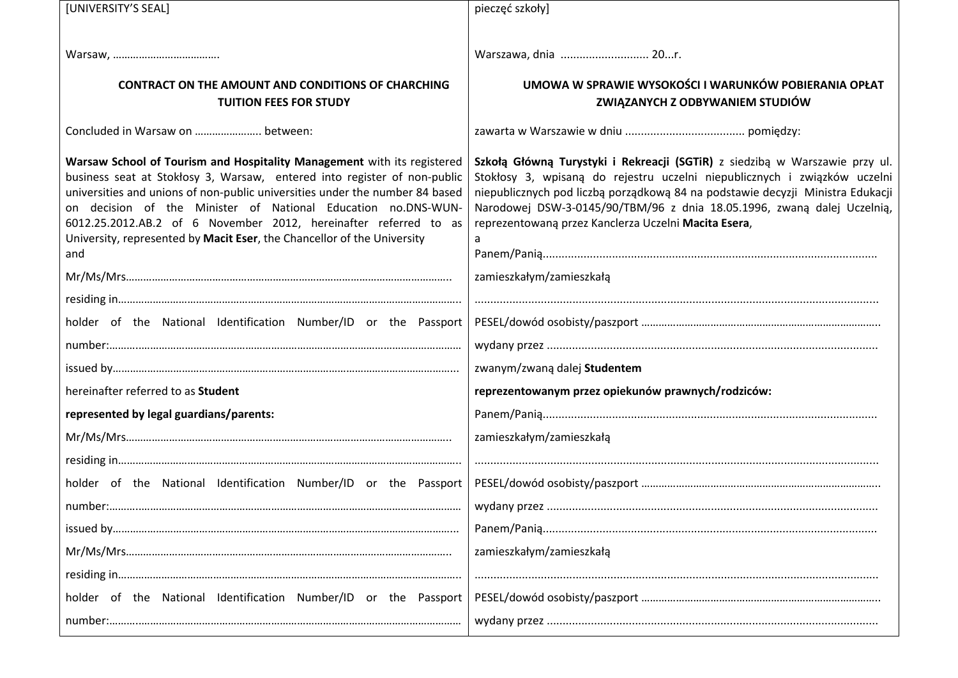| [UNIVERSITY'S SEAL]                                                                                                                                                                                                                                                                                                                                                                                                                                        | pieczęć szkoły]                                                                                                                                                                                                                                                                                                                                                               |  |
|------------------------------------------------------------------------------------------------------------------------------------------------------------------------------------------------------------------------------------------------------------------------------------------------------------------------------------------------------------------------------------------------------------------------------------------------------------|-------------------------------------------------------------------------------------------------------------------------------------------------------------------------------------------------------------------------------------------------------------------------------------------------------------------------------------------------------------------------------|--|
|                                                                                                                                                                                                                                                                                                                                                                                                                                                            |                                                                                                                                                                                                                                                                                                                                                                               |  |
|                                                                                                                                                                                                                                                                                                                                                                                                                                                            | Warszawa, dnia  20r.                                                                                                                                                                                                                                                                                                                                                          |  |
| <b>CONTRACT ON THE AMOUNT AND CONDITIONS OF CHARCHING</b>                                                                                                                                                                                                                                                                                                                                                                                                  | UMOWA W SPRAWIE WYSOKOŚCI I WARUNKÓW POBIERANIA OPŁAT                                                                                                                                                                                                                                                                                                                         |  |
| <b>TUITION FEES FOR STUDY</b>                                                                                                                                                                                                                                                                                                                                                                                                                              | ZWIĄZANYCH Z ODBYWANIEM STUDIÓW                                                                                                                                                                                                                                                                                                                                               |  |
| Concluded in Warsaw on  between:                                                                                                                                                                                                                                                                                                                                                                                                                           |                                                                                                                                                                                                                                                                                                                                                                               |  |
| Warsaw School of Tourism and Hospitality Management with its registered<br>business seat at Stokłosy 3, Warsaw, entered into register of non-public<br>universities and unions of non-public universities under the number 84 based<br>on decision of the Minister of National Education no.DNS-WUN-<br>6012.25.2012.AB.2 of 6 November 2012, hereinafter referred to as<br>University, represented by Macit Eser, the Chancellor of the University<br>and | Szkołą Główną Turystyki i Rekreacji (SGTiR) z siedzibą w Warszawie przy ul.<br>Stokłosy 3, wpisaną do rejestru uczelni niepublicznych i związków uczelni<br>niepublicznych pod liczbą porządkową 84 na podstawie decyzji Ministra Edukacji<br>Narodowej DSW-3-0145/90/TBM/96 z dnia 18.05.1996, zwaną dalej Uczelnią,<br>reprezentowaną przez Kanclerza Uczelni Macita Esera, |  |
|                                                                                                                                                                                                                                                                                                                                                                                                                                                            | zamieszkałym/zamieszkałą                                                                                                                                                                                                                                                                                                                                                      |  |
|                                                                                                                                                                                                                                                                                                                                                                                                                                                            |                                                                                                                                                                                                                                                                                                                                                                               |  |
| holder of the National Identification Number/ID or the Passport                                                                                                                                                                                                                                                                                                                                                                                            |                                                                                                                                                                                                                                                                                                                                                                               |  |
|                                                                                                                                                                                                                                                                                                                                                                                                                                                            |                                                                                                                                                                                                                                                                                                                                                                               |  |
|                                                                                                                                                                                                                                                                                                                                                                                                                                                            | zwanym/zwaną dalej Studentem                                                                                                                                                                                                                                                                                                                                                  |  |
| hereinafter referred to as Student                                                                                                                                                                                                                                                                                                                                                                                                                         | reprezentowanym przez opiekunów prawnych/rodziców:                                                                                                                                                                                                                                                                                                                            |  |
| represented by legal guardians/parents:                                                                                                                                                                                                                                                                                                                                                                                                                    |                                                                                                                                                                                                                                                                                                                                                                               |  |
|                                                                                                                                                                                                                                                                                                                                                                                                                                                            | zamieszkałym/zamieszkałą                                                                                                                                                                                                                                                                                                                                                      |  |
|                                                                                                                                                                                                                                                                                                                                                                                                                                                            |                                                                                                                                                                                                                                                                                                                                                                               |  |
| holder of the National Identification Number/ID or the Passport                                                                                                                                                                                                                                                                                                                                                                                            |                                                                                                                                                                                                                                                                                                                                                                               |  |
|                                                                                                                                                                                                                                                                                                                                                                                                                                                            |                                                                                                                                                                                                                                                                                                                                                                               |  |
|                                                                                                                                                                                                                                                                                                                                                                                                                                                            |                                                                                                                                                                                                                                                                                                                                                                               |  |
| $Mr/Ms/Mrs\hspace{1cm}\hspace{1cm}\hspace{1cm}\hspace{1cm}\hspace{1cm}\hspace{1cm}\hspace{1cm}\hspace{1cm}\hspace{1cm}\hspace{1cm}\hspace{1cm}\hspace{1cm}\hspace{1cm}\hspace{1cm}\hspace{1cm}\hspace{1cm}\hspace{1cm}\hspace{1cm}\hspace{1cm}\hspace{1cm}\hspace{1cm}\hspace{1cm}\hspace{1cm}\hspace{1cm}\hspace{1cm}\hspace{1cm}\hspace{1$                                                                                                               | zamieszkałym/zamieszkałą                                                                                                                                                                                                                                                                                                                                                      |  |
|                                                                                                                                                                                                                                                                                                                                                                                                                                                            |                                                                                                                                                                                                                                                                                                                                                                               |  |
| holder of the National Identification Number/ID or the Passport                                                                                                                                                                                                                                                                                                                                                                                            |                                                                                                                                                                                                                                                                                                                                                                               |  |
|                                                                                                                                                                                                                                                                                                                                                                                                                                                            |                                                                                                                                                                                                                                                                                                                                                                               |  |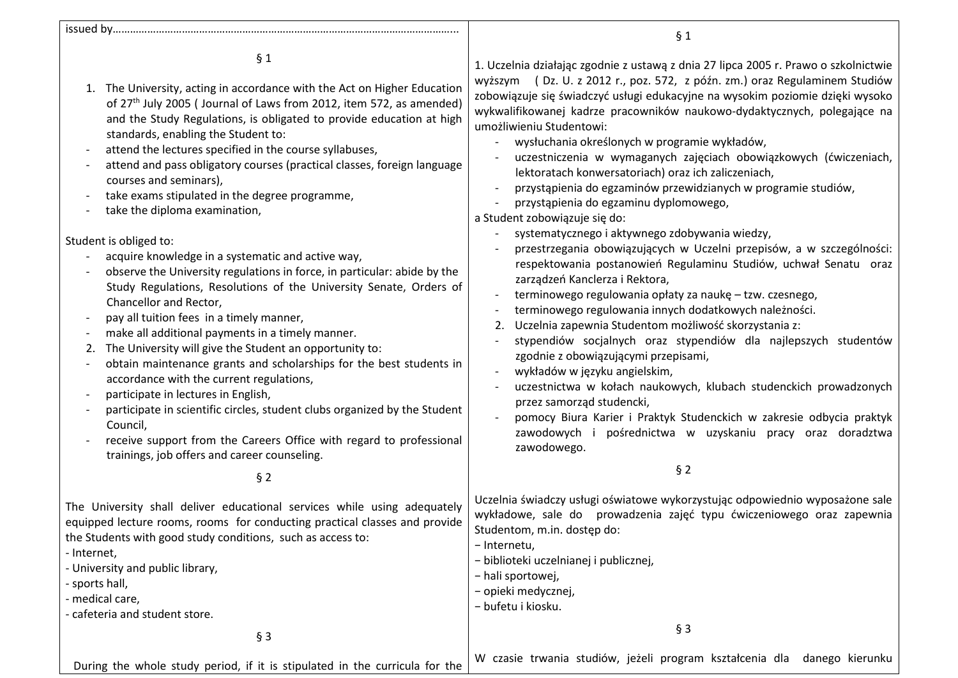issued by………………………………………………………………………………………………………...

§ 1

- 1. The University, acting in accordance with the Act on Higher Education of 27<sup>th</sup> July 2005 (Journal of Laws from 2012, item 572, as amended) and the Study Regulations, is obligated to provide education at high standards, enabling the Student to:
- attend the lectures specified in the course syllabuses,
- attend and pass obligatory courses (practical classes, foreign language courses and seminars),
- take exams stipulated in the degree programme,
- take the diploma examination,

Student is obliged to:

- acquire knowledge in a systematic and active way,
- observe the University regulations in force, in particular: abide by the Study Regulations, Resolutions of the University Senate, Orders of Chancellor and Rector,
- pay all tuition fees in a timely manner,
- make all additional payments in a timely manner.
- 2. The University will give the Student an opportunity to:
- obtain maintenance grants and scholarships for the best students in accordance with the current regulations,
- participate in lectures in English.
- participate in scientific circles, student clubs organized by the Student Council,
- receive support from the Careers Office with regard to professional trainings, job offers and career counseling.

§ 2

The University shall deliver educational services while using adequately equipped lecture rooms, rooms for conducting practical classes and provide the Students with good study conditions, such as access to:

- Internet,

- University and public library,
- sports hall,
- medical care,
- cafeteria and student store.

§ 3

1. Uczelnia działając zgodnie z ustawą z dnia 27 lipca 2005 r. Prawo o szkolnictwie wyższym ( Dz. U. z 2012 r., poz. 572, z późn. zm.) oraz Regulaminem Studiów zobowiązuje się świadczyć usługi edukacyjne na wysokim poziomie dzięki wysoko wykwalifikowanej kadrze pracowników naukowo-dydaktycznych, polegające na umożliwieniu Studentowi:

§ 1

- wysłuchania określonych w programie wykładów,
- uczestniczenia w wymaganych zajęciach obowiązkowych (ćwiczeniach, lektoratach konwersatoriach) oraz ich zaliczeniach,
- przystąpienia do egzaminów przewidzianych w programie studiów,
- przystąpienia do egzaminu dyplomowego,

a Student zobowiązuje się do:

- systematycznego i aktywnego zdobywania wiedzy,
- przestrzegania obowiązujących w Uczelni przepisów, a w szczególności: respektowania postanowień Regulaminu Studiów, uchwał Senatu oraz zarządzeń Kanclerza i Rektora,
- terminowego regulowania opłaty za naukę tzw. czesnego,
- terminowego regulowania innych dodatkowych należności.
- 2. Uczelnia zapewnia Studentom możliwość skorzystania z:
- stypendiów socjalnych oraz stypendiów dla najlepszych studentów zgodnie z obowiązującymi przepisami,
- wykładów w języku angielskim,
- uczestnictwa w kołach naukowych, klubach studenckich prowadzonych przez samorząd studencki,
- pomocy Biura Karier i Praktyk Studenckich w zakresie odbycia praktyk zawodowych i pośrednictwa w uzyskaniu pracy oraz doradztwa zawodowego.
	- § 2

Uczelnia świadczy usługi oświatowe wykorzystując odpowiednio wyposażone sale wykładowe, sale do prowadzenia zajęć typu ćwiczeniowego oraz zapewnia Studentom, m.in. dostęp do:

- − Internetu,
- − biblioteki uczelnianej i publicznej,
- − hali sportowej,
- − opieki medycznej,

− bufetu i kiosku.

During the whole study period, if it is stipulated in the curricula for the W czasie trwania studiów, jeżeli program kształcenia dla danego kierunku

§ 3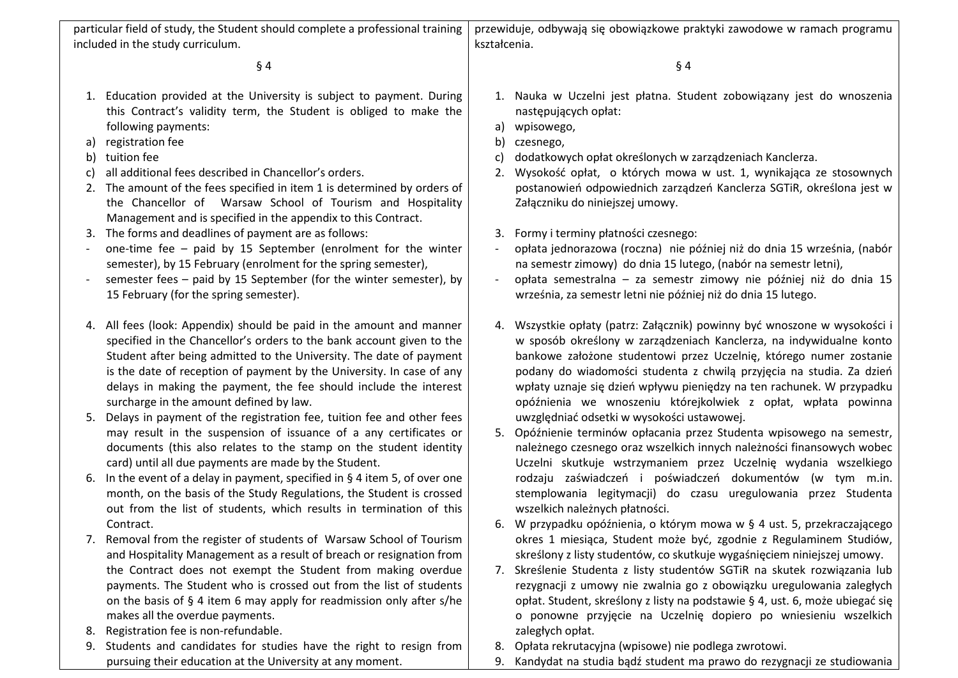| particular field of study, the Student should complete a professional training<br>included in the study curriculum. |                                                                                                                                                                                                                                                                                                                                                                                                               | przewiduje, odbywają się obowiązkowe praktyki zawodowe w ramach programu<br>kształcenia.                                                                                                                                                                        |                                                                                                                                                                                                                                                                                                                                                                                                                                          |  |
|---------------------------------------------------------------------------------------------------------------------|---------------------------------------------------------------------------------------------------------------------------------------------------------------------------------------------------------------------------------------------------------------------------------------------------------------------------------------------------------------------------------------------------------------|-----------------------------------------------------------------------------------------------------------------------------------------------------------------------------------------------------------------------------------------------------------------|------------------------------------------------------------------------------------------------------------------------------------------------------------------------------------------------------------------------------------------------------------------------------------------------------------------------------------------------------------------------------------------------------------------------------------------|--|
|                                                                                                                     |                                                                                                                                                                                                                                                                                                                                                                                                               |                                                                                                                                                                                                                                                                 |                                                                                                                                                                                                                                                                                                                                                                                                                                          |  |
| $§$ 4                                                                                                               |                                                                                                                                                                                                                                                                                                                                                                                                               |                                                                                                                                                                                                                                                                 | $§$ 4                                                                                                                                                                                                                                                                                                                                                                                                                                    |  |
|                                                                                                                     | 1. Education provided at the University is subject to payment. During<br>this Contract's validity term, the Student is obliged to make the<br>following payments:                                                                                                                                                                                                                                             | a)                                                                                                                                                                                                                                                              | 1. Nauka w Uczelni jest płatna. Student zobowiązany jest do wnoszenia<br>następujących opłat:<br>wpisowego,                                                                                                                                                                                                                                                                                                                              |  |
| a)                                                                                                                  | registration fee                                                                                                                                                                                                                                                                                                                                                                                              | b)                                                                                                                                                                                                                                                              | czesnego,                                                                                                                                                                                                                                                                                                                                                                                                                                |  |
| b)                                                                                                                  | tuition fee                                                                                                                                                                                                                                                                                                                                                                                                   | C)                                                                                                                                                                                                                                                              | dodatkowych opłat określonych w zarządzeniach Kanclerza.                                                                                                                                                                                                                                                                                                                                                                                 |  |
| C)                                                                                                                  | all additional fees described in Chancellor's orders.                                                                                                                                                                                                                                                                                                                                                         | 2.                                                                                                                                                                                                                                                              | Wysokość opłat, o których mowa w ust. 1, wynikająca ze stosownych                                                                                                                                                                                                                                                                                                                                                                        |  |
|                                                                                                                     | 2. The amount of the fees specified in item 1 is determined by orders of<br>the Chancellor of Warsaw School of Tourism and Hospitality<br>Management and is specified in the appendix to this Contract.                                                                                                                                                                                                       |                                                                                                                                                                                                                                                                 | postanowień odpowiednich zarządzeń Kanclerza SGTiR, określona jest w<br>Załączniku do niniejszej umowy.                                                                                                                                                                                                                                                                                                                                  |  |
|                                                                                                                     | 3. The forms and deadlines of payment are as follows:                                                                                                                                                                                                                                                                                                                                                         |                                                                                                                                                                                                                                                                 | 3. Formy i terminy płatności czesnego:                                                                                                                                                                                                                                                                                                                                                                                                   |  |
|                                                                                                                     | one-time fee $-$ paid by 15 September (enrolment for the winter<br>semester), by 15 February (enrolment for the spring semester),                                                                                                                                                                                                                                                                             | $\overline{\phantom{a}}$                                                                                                                                                                                                                                        | opłata jednorazowa (roczna) nie później niż do dnia 15 września, (nabór<br>na semestr zimowy) do dnia 15 lutego, (nabór na semestr letni),                                                                                                                                                                                                                                                                                               |  |
|                                                                                                                     | semester fees - paid by 15 September (for the winter semester), by<br>15 February (for the spring semester).                                                                                                                                                                                                                                                                                                  | $\overline{\phantom{a}}$                                                                                                                                                                                                                                        | opłata semestralna – za semestr zimowy nie później niż do dnia 15<br>września, za semestr letni nie później niż do dnia 15 lutego.                                                                                                                                                                                                                                                                                                       |  |
|                                                                                                                     | 4. All fees (look: Appendix) should be paid in the amount and manner<br>specified in the Chancellor's orders to the bank account given to the<br>Student after being admitted to the University. The date of payment<br>is the date of reception of payment by the University. In case of any<br>delays in making the payment, the fee should include the interest<br>surcharge in the amount defined by law. |                                                                                                                                                                                                                                                                 | 4. Wszystkie opłaty (patrz: Załącznik) powinny być wnoszone w wysokości i<br>w sposób określony w zarządzeniach Kanclerza, na indywidualne konto<br>bankowe założone studentowi przez Uczelnię, którego numer zostanie<br>podany do wiadomości studenta z chwilą przyjęcia na studia. Za dzień<br>wpłaty uznaje się dzień wpływu pieniędzy na ten rachunek. W przypadku<br>opóźnienia we wnoszeniu którejkolwiek z opłat, wpłata powinna |  |
|                                                                                                                     | 5. Delays in payment of the registration fee, tuition fee and other fees<br>may result in the suspension of issuance of a any certificates or<br>documents (this also relates to the stamp on the student identity<br>card) until all due payments are made by the Student.                                                                                                                                   | uwzględniać odsetki w wysokości ustawowej.<br>5. Opóźnienie terminów opłacania przez Studenta wpisowego na semestr,<br>należnego czesnego oraz wszelkich innych należności finansowych wobec<br>Uczelni skutkuje wstrzymaniem przez Uczelnię wydania wszelkiego |                                                                                                                                                                                                                                                                                                                                                                                                                                          |  |
|                                                                                                                     | 6. In the event of a delay in payment, specified in $\S$ 4 item 5, of over one<br>month, on the basis of the Study Regulations, the Student is crossed<br>out from the list of students, which results in termination of this                                                                                                                                                                                 |                                                                                                                                                                                                                                                                 | rodzaju zaświadczeń i poświadczeń dokumentów (w tym m.in.<br>stemplowania legitymacji) do czasu uregulowania przez Studenta<br>wszelkich należnych płatności.                                                                                                                                                                                                                                                                            |  |
|                                                                                                                     | Contract.                                                                                                                                                                                                                                                                                                                                                                                                     |                                                                                                                                                                                                                                                                 | 6. W przypadku opóźnienia, o którym mowa w § 4 ust. 5, przekraczającego                                                                                                                                                                                                                                                                                                                                                                  |  |
|                                                                                                                     | 7. Removal from the register of students of Warsaw School of Tourism<br>and Hospitality Management as a result of breach or resignation from                                                                                                                                                                                                                                                                  |                                                                                                                                                                                                                                                                 | okres 1 miesiąca, Student może być, zgodnie z Regulaminem Studiów,<br>skreślony z listy studentów, co skutkuje wygaśnięciem niniejszej umowy.                                                                                                                                                                                                                                                                                            |  |
|                                                                                                                     | the Contract does not exempt the Student from making overdue                                                                                                                                                                                                                                                                                                                                                  |                                                                                                                                                                                                                                                                 | 7. Skreślenie Studenta z listy studentów SGTiR na skutek rozwiązania lub                                                                                                                                                                                                                                                                                                                                                                 |  |
|                                                                                                                     | payments. The Student who is crossed out from the list of students                                                                                                                                                                                                                                                                                                                                            |                                                                                                                                                                                                                                                                 | rezygnacji z umowy nie zwalnia go z obowiązku uregulowania zaległych                                                                                                                                                                                                                                                                                                                                                                     |  |
|                                                                                                                     | on the basis of $\S$ 4 item 6 may apply for readmission only after s/he                                                                                                                                                                                                                                                                                                                                       |                                                                                                                                                                                                                                                                 | opłat. Student, skreślony z listy na podstawie § 4, ust. 6, może ubiegać się                                                                                                                                                                                                                                                                                                                                                             |  |
|                                                                                                                     | makes all the overdue payments.                                                                                                                                                                                                                                                                                                                                                                               |                                                                                                                                                                                                                                                                 | o ponowne przyjęcie na Uczelnię dopiero po wniesieniu wszelkich                                                                                                                                                                                                                                                                                                                                                                          |  |
| 8.                                                                                                                  | Registration fee is non-refundable.                                                                                                                                                                                                                                                                                                                                                                           |                                                                                                                                                                                                                                                                 | zaległych opłat.                                                                                                                                                                                                                                                                                                                                                                                                                         |  |
| 9.                                                                                                                  | Students and candidates for studies have the right to resign from                                                                                                                                                                                                                                                                                                                                             | 8.                                                                                                                                                                                                                                                              | Opłata rekrutacyjna (wpisowe) nie podlega zwrotowi.                                                                                                                                                                                                                                                                                                                                                                                      |  |
|                                                                                                                     | pursuing their education at the University at any moment.                                                                                                                                                                                                                                                                                                                                                     | 9.                                                                                                                                                                                                                                                              | Kandydat na studia bądź student ma prawo do rezygnacji ze studiowania                                                                                                                                                                                                                                                                                                                                                                    |  |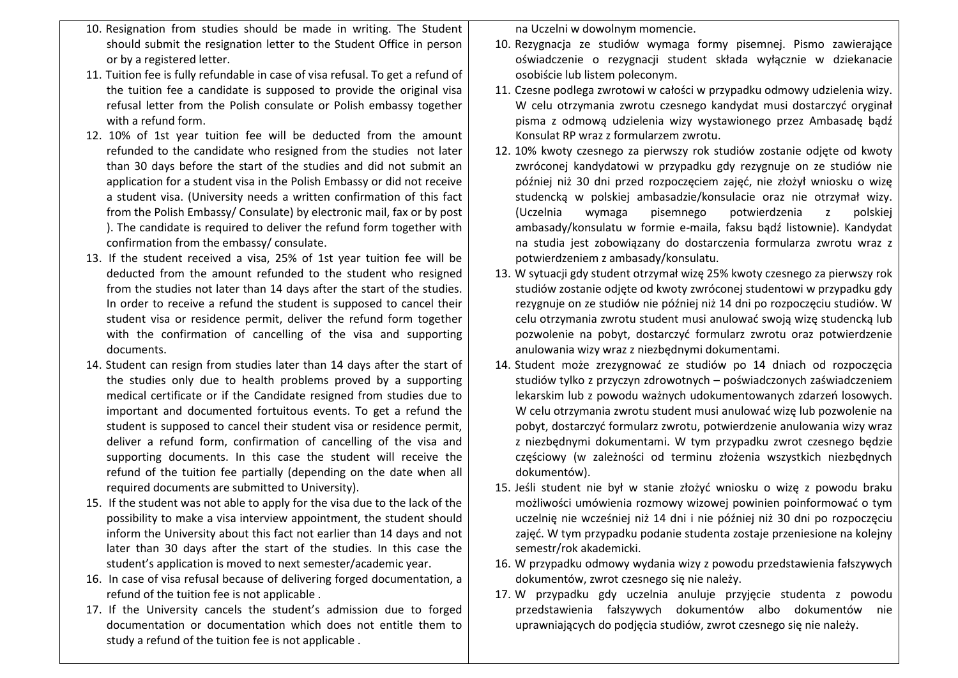- 10. Resignation from studies should be made in writing. The Student should submit the resignation letter to the Student Office in person or by a registered letter.
- 11. Tuition fee is fully refundable in case of visa refusal. To get a refund of the tuition fee a candidate is supposed to provide the original visa refusal letter from the Polish consulate or Polish embassy together with a refund form.
- 12. 10% of 1st year tuition fee will be deducted from the amount refunded to the candidate who resigned from the studies not later than 30 days before the start of the studies and did not submit an application for a student visa in the Polish Embassy or did not receive a student visa. (University needs a written confirmation of this fact from the Polish Embassy/ Consulate) by electronic mail, fax or by post ). The candidate is required to deliver the refund form together with confirmation from the embassy/ consulate.
- 13. If the student received a visa, 25% of 1st year tuition fee will be deducted from the amount refunded to the student who resigned from the studies not later than 14 days after the start of the studies. In order to receive a refund the student is supposed to cancel their student visa or residence permit, deliver the refund form together with the confirmation of cancelling of the visa and supporting documents.
- 14. Student can resign from studies later than 14 days after the start of the studies only due to health problems proved by a supporting medical certificate or if the Candidate resigned from studies due to important and documented fortuitous events. To get a refund the student is supposed to cancel their student visa or residence permit, deliver a refund form, confirmation of cancelling of the visa and supporting documents. In this case the student will receive the refund of the tuition fee partially (depending on the date when all required documents are submitted to University).
- 15. If the student was not able to apply for the visa due to the lack of the possibility to make a visa interview appointment, the student should inform the University about this fact not earlier than 14 days and not later than 30 days after the start of the studies. In this case the student's application is moved to next semester/academic year.
- 16. In case of visa refusal because of delivering forged documentation, a refund of the tuition fee is not applicable .
- 17. If the University cancels the student's admission due to forged documentation or documentation which does not entitle them to study a refund of the tuition fee is not applicable .

na Uczelni w dowolnym momencie.

- 10. Rezygnacja ze studiów wymaga formy pisemnej. Pismo zawierające oświadczenie o rezygnacji student składa wyłącznie w dziekanacie osobiście lub listem poleconym.
- 11. Czesne podlega zwrotowi w całości w przypadku odmowy udzielenia wizy. W celu otrzymania zwrotu czesnego kandydat musi dostarczyć oryginał pisma z odmową udzielenia wizy wystawionego przez Ambasadę bądź Konsulat RP wraz z formularzem zwrotu.
- 12. 10% kwoty czesnego za pierwszy rok studiów zostanie odjęte od kwoty zwróconej kandydatowi w przypadku gdy rezygnuje on ze studiów nie później niż 30 dni przed rozpoczęciem zajęć, nie złożył wniosku o wizę studencką w polskiej ambasadzie/konsulacie oraz nie otrzymał wizy. (Uczelnia wymaga pisemnego potwierdzenia z polskiej ambasady/konsulatu w formie e-maila, faksu bądź listownie). Kandydat na studia jest zobowiązany do dostarczenia formularza zwrotu wraz z potwierdzeniem z ambasady/konsulatu.
- 13. W sytuacji gdy student otrzymał wizę 25% kwoty czesnego za pierwszy rok studiów zostanie odjęte od kwoty zwróconej studentowi w przypadku gdy rezygnuje on ze studiów nie później niż 14 dni po rozpoczęciu studiów. W celu otrzymania zwrotu student musi anulować swoją wizę studencką lub pozwolenie na pobyt, dostarczyć formularz zwrotu oraz potwierdzenie anulowania wizy wraz z niezbędnymi dokumentami.
- 14. Student może zrezygnować ze studiów po 14 dniach od rozpoczęcia studiów tylko z przyczyn zdrowotnych – poświadczonych zaświadczeniem lekarskim lub z powodu ważnych udokumentowanych zdarzeń losowych. W celu otrzymania zwrotu student musi anulować wizę lub pozwolenie na pobyt, dostarczyć formularz zwrotu, potwierdzenie anulowania wizy wraz z niezbędnymi dokumentami. W tym przypadku zwrot czesnego będzie częściowy (w zależności od terminu złożenia wszystkich niezbędnych dokumentów).
- 15. Jeśli student nie był w stanie złożyć wniosku o wizę z powodu braku możliwości umówienia rozmowy wizowej powinien poinformować o tym uczelnię nie wcześniej niż 14 dni i nie później niż 30 dni po rozpoczęciu zajęć. W tym przypadku podanie studenta zostaje przeniesione na kolejny semestr/rok akademicki.
- 16. W przypadku odmowy wydania wizy z powodu przedstawienia fałszywych dokumentów, zwrot czesnego się nie należy.
- 17. W przypadku gdy uczelnia anuluje przyjęcie studenta z powodu przedstawienia fałszywych dokumentów albo dokumentów nie uprawniających do podjęcia studiów, zwrot czesnego się nie należy.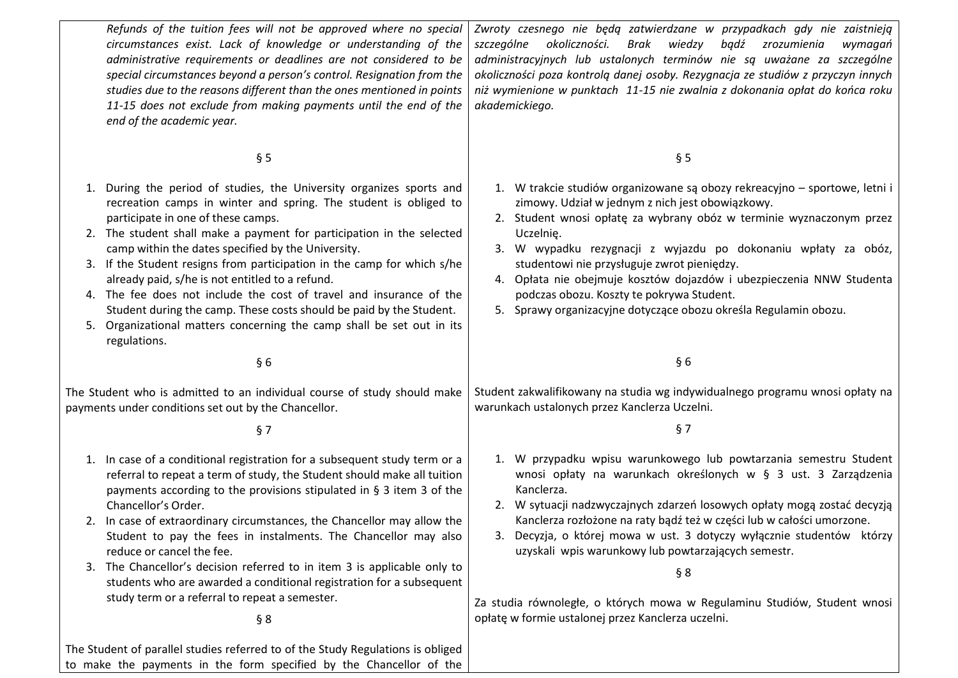*Refunds of the tuition fees will not be approved where no special circumstances exist. Lack of knowledge or understanding of the administrative requirements or deadlines are not considered to be special circumstances beyond a person's control. Resignation from the studies due to the reasons different than the ones mentioned in points 11-15 does not exclude from making payments until the end of the end of the academic year.*

# § 5

- 1. During the period of studies, the University organizes sports and recreation camps in winter and spring. The student is obliged to participate in one of these camps.
- 2. The student shall make a payment for participation in the selected camp within the dates specified by the University.
- 3. If the Student resigns from participation in the camp for which s/he already paid, s/he is not entitled to a refund.
- 4. The fee does not include the cost of travel and insurance of the Student during the camp. These costs should be paid by the Student.
- 5. Organizational matters concerning the camp shall be set out in its regulations.

§ 6

The Student who is admitted to an individual course of study should make payments under conditions set out by the Chancellor.

§ 7

- 1. In case of a conditional registration for a subsequent study term or a referral to repeat a term of study, the Student should make all tuition payments according to the provisions stipulated in § 3 item 3 of the Chancellor's Order.
- 2. In case of extraordinary circumstances, the Chancellor may allow the Student to pay the fees in instalments. The Chancellor may also reduce or cancel the fee.
- 3. The Chancellor's decision referred to in item 3 is applicable only to students who are awarded a conditional registration for a subsequent study term or a referral to repeat a semester.

§ 8

The Student of parallel studies referred to of the Study Regulations is obliged to make the payments in the form specified by the Chancellor of the

*Zwroty czesnego nie będą zatwierdzane w przypadkach gdy nie zaistnieją szczególne okoliczności. Brak wiedzy bądź zrozumienia wymagań administracyjnych lub ustalonych terminów nie są uważane za szczególne okoliczności poza kontrolą danej osoby. Rezygnacja ze studiów z przyczyn innych niż wymienione w punktach 11-15 nie zwalnia z dokonania opłat do końca roku akademickiego.*

§ 5

- 1. W trakcie studiów organizowane są obozy rekreacyjno sportowe, letni i zimowy. Udział w jednym z nich jest obowiązkowy.
- 2. Student wnosi opłatę za wybrany obóz w terminie wyznaczonym przez Uczelnię.
- 3. W wypadku rezygnacji z wyjazdu po dokonaniu wpłaty za obóz, studentowi nie przysługuje zwrot pieniędzy.
- 4. Opłata nie obejmuje kosztów dojazdów i ubezpieczenia NNW Studenta podczas obozu. Koszty te pokrywa Student.
- 5. Sprawy organizacyjne dotyczące obozu określa Regulamin obozu.

§ 6

Student zakwalifikowany na studia wg indywidualnego programu wnosi opłaty na warunkach ustalonych przez Kanclerza Uczelni.

§ 7

- 1. W przypadku wpisu warunkowego lub powtarzania semestru Student wnosi opłaty na warunkach określonych w § 3 ust. 3 Zarządzenia Kanclerza.
- 2. W sytuacji nadzwyczajnych zdarzeń losowych opłaty mogą zostać decyzją Kanclerza rozłożone na raty bądź też w części lub w całości umorzone.
- 3. Decyzja, o której mowa w ust. 3 dotyczy wyłącznie studentów którzy uzyskali wpis warunkowy lub powtarzających semestr.

§ 8

Za studia równoległe, o których mowa w Regulaminu Studiów, Student wnosi opłatę w formie ustalonej przez Kanclerza uczelni.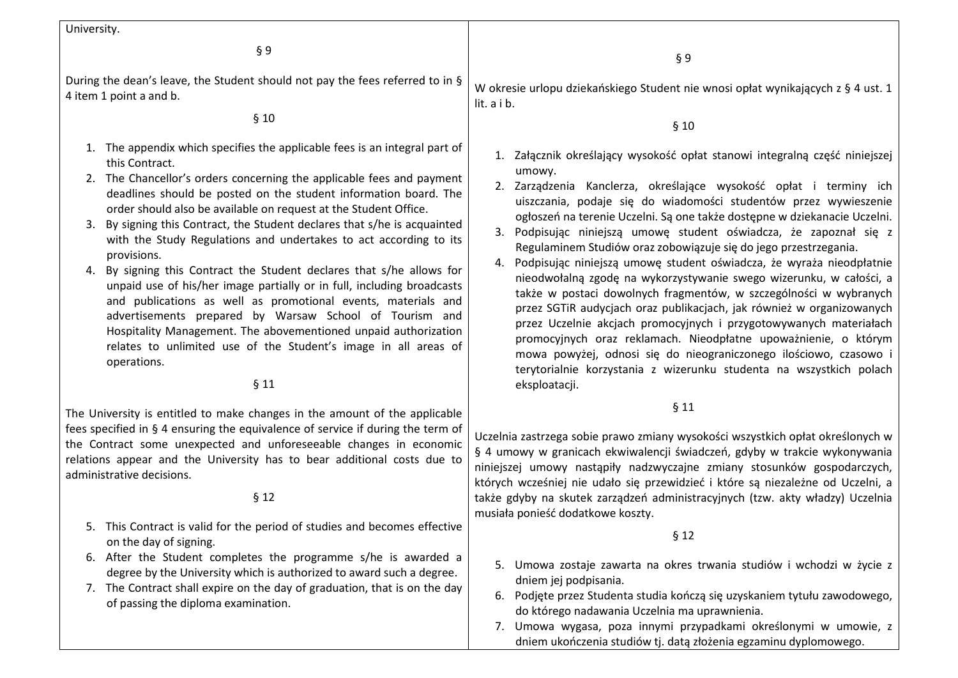University.

§ 9

During the dean's leave, the Student should not pay the fees referred to in § 4 item 1 point a and b.

#### § 10

- 1. The appendix which specifies the applicable fees is an integral part of this Contract.
- 2. The Chancellor's orders concerning the applicable fees and payment deadlines should be posted on the student information board. The order should also be available on request at the Student Office.
- 3. By signing this Contract, the Student declares that s/he is acquainted with the Study Regulations and undertakes to act according to its provisions.
- 4. By signing this Contract the Student declares that s/he allows for unpaid use of his/her image partially or in full, including broadcasts and publications as well as promotional events, materials and advertisements prepared by Warsaw School of Tourism and Hospitality Management. The abovementioned unpaid authorization relates to unlimited use of the Student's image in all areas of operations.

## § 11

The University is entitled to make changes in the amount of the applicable fees specified in § 4 ensuring the equivalence of service if during the term of the Contract some unexpected and unforeseeable changes in economic relations appear and the University has to bear additional costs due to administrative decisions.

### § 12

- 5. This Contract is valid for the period of studies and becomes effective on the day of signing.
- 6. After the Student completes the programme s/he is awarded a degree by the University which is authorized to award such a degree.
- 7. The Contract shall expire on the day of graduation, that is on the day of passing the diploma examination.

W okresie urlopu dziekańskiego Student nie wnosi opłat wynikających z § 4 ust. 1 lit. a i b.

#### § 10

- 1. Załącznik określający wysokość opłat stanowi integralną część niniejszej umowy.
- 2. Zarządzenia Kanclerza, określające wysokość opłat i terminy ich uiszczania, podaje się do wiadomości studentów przez wywieszenie ogłoszeń na terenie Uczelni. Są one także dostępne w dziekanacie Uczelni.
- 3. Podpisując niniejszą umowę student oświadcza, że zapoznał się z Regulaminem Studiów oraz zobowiązuje się do jego przestrzegania.
- 4. Podpisując niniejszą umowę student oświadcza, że wyraża nieodpłatnie nieodwołalną zgodę na wykorzystywanie swego wizerunku, w całości, a także w postaci dowolnych fragmentów, w szczególności w wybranych przez SGTiR audycjach oraz publikacjach, jak również w organizowanych przez Uczelnie akcjach promocyjnych i przygotowywanych materiałach promocyjnych oraz reklamach. Nieodpłatne upoważnienie, o którym mowa powyżej, odnosi się do nieograniczonego ilościowo, czasowo i terytorialnie korzystania z wizerunku studenta na wszystkich polach eksploatacji.

# § 11

Uczelnia zastrzega sobie prawo zmiany wysokości wszystkich opłat określonych w § 4 umowy w granicach ekwiwalencji świadczeń, gdyby w trakcie wykonywania niniejszej umowy nastąpiły nadzwyczajne zmiany stosunków gospodarczych, których wcześniej nie udało się przewidzieć i które są niezależne od Uczelni, a także gdyby na skutek zarządzeń administracyjnych (tzw. akty władzy) Uczelnia musiała ponieść dodatkowe koszty.

#### § 12

- 5. Umowa zostaje zawarta na okres trwania studiów i wchodzi w życie z dniem jej podpisania.
- 6. Podjęte przez Studenta studia kończą się uzyskaniem tytułu zawodowego, do którego nadawania Uczelnia ma uprawnienia.
- 7. Umowa wygasa, poza innymi przypadkami określonymi w umowie, z dniem ukończenia studiów tj. datą złożenia egzaminu dyplomowego.

§ 9